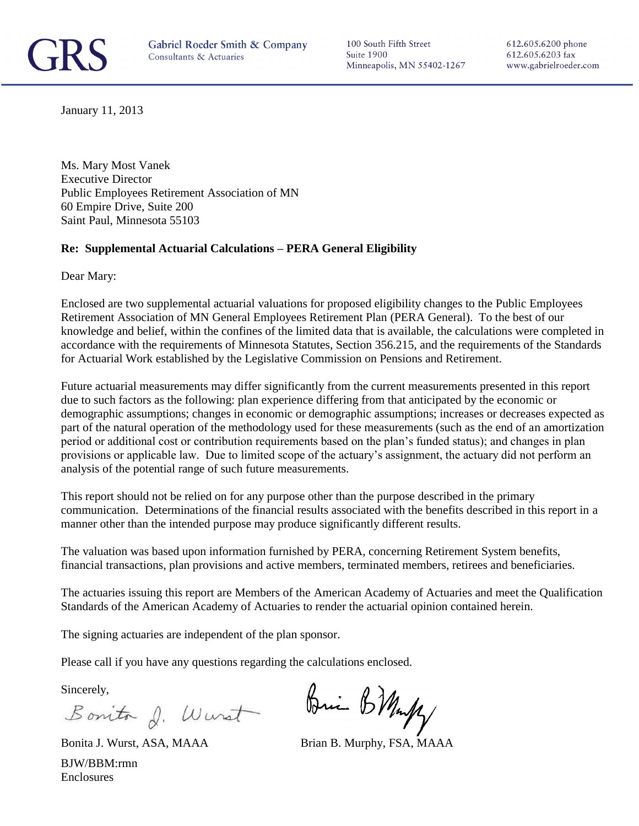

100 South Fifth Street Suite 1900 Minneapolis, MN 55402-1267

612.605.6200 phone 612.605.6203 fax www.gabrielroeder.com

January 11, 2013

Ms. Mary Most Vanek Executive Director Public Employees Retirement Association of MN 60 Empire Drive, Suite 200 Saint Paul, Minnesota 55103

#### **Re: Supplemental Actuarial Calculations – PERA General Eligibility**

Dear Mary:

Enclosed are two supplemental actuarial valuations for proposed eligibility changes to the Public Employees Retirement Association of MN General Employees Retirement Plan (PERA General). To the best of our knowledge and belief, within the confines of the limited data that is available, the calculations were completed in accordance with the requirements of Minnesota Statutes, Section 356.215, and the requirements of the Standards for Actuarial Work established by the Legislative Commission on Pensions and Retirement.

Future actuarial measurements may differ significantly from the current measurements presented in this report due to such factors as the following: plan experience differing from that anticipated by the economic or demographic assumptions; changes in economic or demographic assumptions; increases or decreases expected as part of the natural operation of the methodology used for these measurements (such as the end of an amortization period or additional cost or contribution requirements based on the plan's funded status); and changes in plan provisions or applicable law. Due to limited scope of the actuary's assignment, the actuary did not perform an analysis of the potential range of such future measurements.

This report should not be relied on for any purpose other than the purpose described in the primary communication. Determinations of the financial results associated with the benefits described in this report in a manner other than the intended purpose may produce significantly different results.

The valuation was based upon information furnished by PERA, concerning Retirement System benefits, financial transactions, plan provisions and active members, terminated members, retirees and beneficiaries.

The actuaries issuing this report are Members of the American Academy of Actuaries and meet the Qualification Standards of the American Academy of Actuaries to render the actuarial opinion contained herein.

The signing actuaries are independent of the plan sponsor.

Please call if you have any questions regarding the calculations enclosed.

Sincerely,

Bonito d. Wurst

Bri BMuff

Bonita J. Wurst, ASA, MAAA Brian B. Murphy, FSA, MAAA BJW/BBM:rmn Enclosures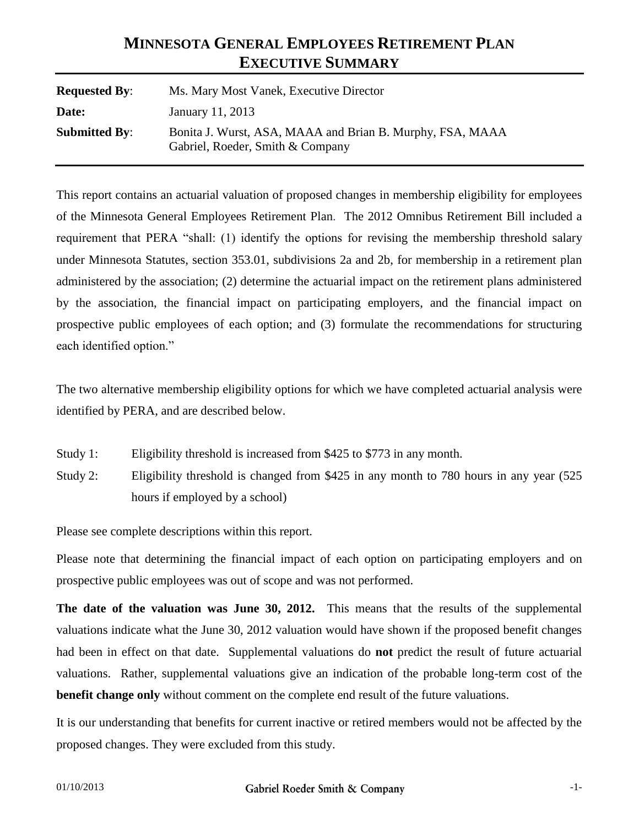# **MINNESOTA GENERAL EMPLOYEES RETIREMENT PLAN EXECUTIVE SUMMARY**

| <b>Requested By:</b> | Ms. Mary Most Vanek, Executive Director                                                       |  |  |  |
|----------------------|-----------------------------------------------------------------------------------------------|--|--|--|
| Date:                | January 11, 2013                                                                              |  |  |  |
| <b>Submitted By:</b> | Bonita J. Wurst, ASA, MAAA and Brian B. Murphy, FSA, MAAA<br>Gabriel, Roeder, Smith & Company |  |  |  |

This report contains an actuarial valuation of proposed changes in membership eligibility for employees of the Minnesota General Employees Retirement Plan. The 2012 Omnibus Retirement Bill included a requirement that PERA "shall: (1) identify the options for revising the membership threshold salary under Minnesota Statutes, section 353.01, subdivisions 2a and 2b, for membership in a retirement plan administered by the association; (2) determine the actuarial impact on the retirement plans administered by the association, the financial impact on participating employers, and the financial impact on prospective public employees of each option; and (3) formulate the recommendations for structuring each identified option."

The two alternative membership eligibility options for which we have completed actuarial analysis were identified by PERA, and are described below.

- Study 1: Eligibility threshold is increased from \$425 to \$773 in any month.
- Study 2: Eligibility threshold is changed from \$425 in any month to 780 hours in any year (525 hours if employed by a school)

Please see complete descriptions within this report.

Please note that determining the financial impact of each option on participating employers and on prospective public employees was out of scope and was not performed.

**The date of the valuation was June 30, 2012.** This means that the results of the supplemental valuations indicate what the June 30, 2012 valuation would have shown if the proposed benefit changes had been in effect on that date. Supplemental valuations do **not** predict the result of future actuarial valuations. Rather, supplemental valuations give an indication of the probable long-term cost of the **benefit change only** without comment on the complete end result of the future valuations.

It is our understanding that benefits for current inactive or retired members would not be affected by the proposed changes. They were excluded from this study.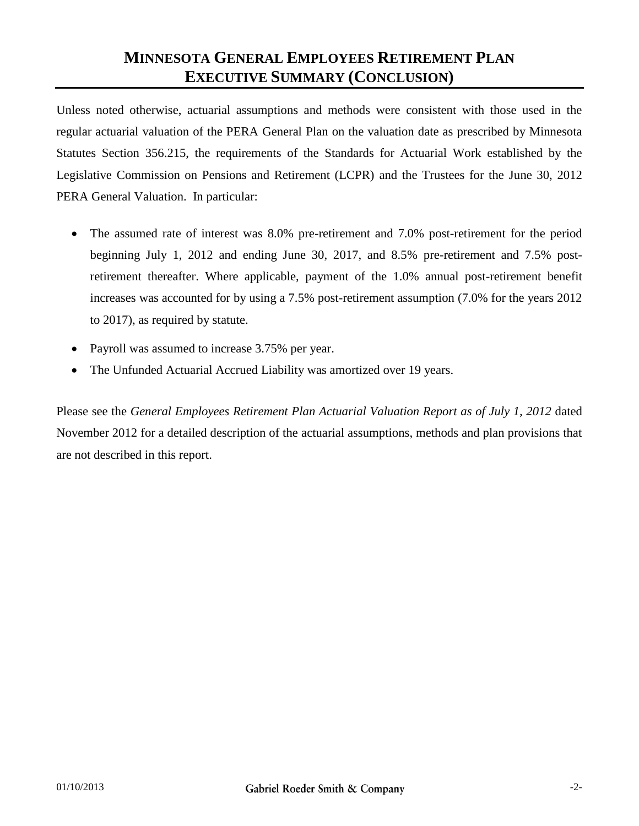#### **MINNESOTA GENERAL EMPLOYEES RETIREMENT PLAN EXECUTIVE SUMMARY (CONCLUSION)**

Unless noted otherwise, actuarial assumptions and methods were consistent with those used in the regular actuarial valuation of the PERA General Plan on the valuation date as prescribed by Minnesota Statutes Section 356.215, the requirements of the Standards for Actuarial Work established by the Legislative Commission on Pensions and Retirement (LCPR) and the Trustees for the June 30, 2012 PERA General Valuation. In particular:

- The assumed rate of interest was 8.0% pre-retirement and 7.0% post-retirement for the period beginning July 1, 2012 and ending June 30, 2017, and 8.5% pre-retirement and 7.5% postretirement thereafter. Where applicable, payment of the 1.0% annual post-retirement benefit increases was accounted for by using a 7.5% post-retirement assumption (7.0% for the years 2012 to 2017), as required by statute.
- Payroll was assumed to increase 3.75% per year.
- The Unfunded Actuarial Accrued Liability was amortized over 19 years.

Please see the *General Employees Retirement Plan Actuarial Valuation Report as of July 1, 2012* dated November 2012 for a detailed description of the actuarial assumptions, methods and plan provisions that are not described in this report.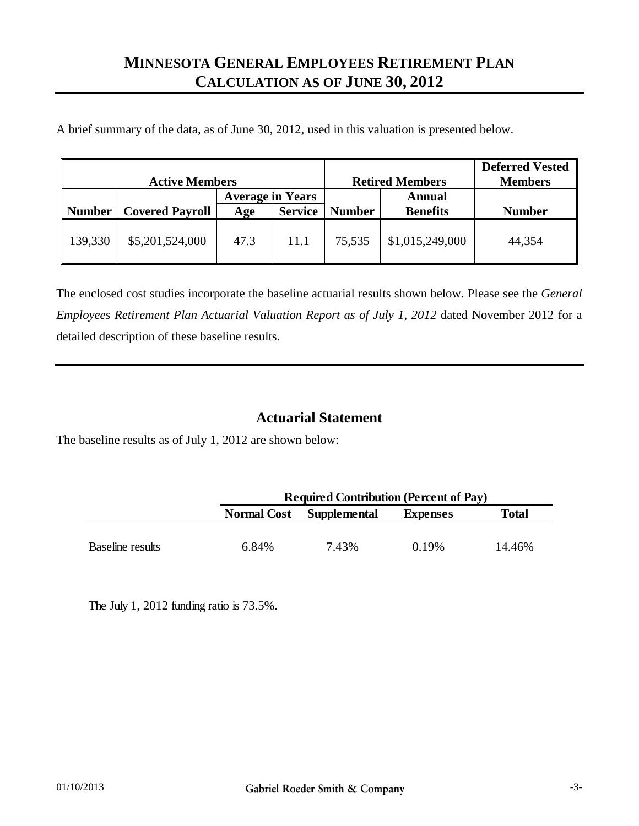### **MINNESOTA GENERAL EMPLOYEES RETIREMENT PLAN CALCULATION AS OF JUNE 30, 2012**

A brief summary of the data, as of June 30, 2012, used in this valuation is presented below.

| <b>Active Members</b> |                        |                         |                | <b>Retired Members</b> | <b>Deferred Vested</b><br><b>Members</b> |               |
|-----------------------|------------------------|-------------------------|----------------|------------------------|------------------------------------------|---------------|
|                       |                        | <b>Average in Years</b> |                | Annual                 |                                          |               |
| Number                | <b>Covered Payroll</b> | Age                     | <b>Service</b> | <b>Number</b>          | <b>Benefits</b>                          | <b>Number</b> |
| 139,330               | \$5,201,524,000        | 47.3                    | 11.1           | 75,535                 | \$1,015,249,000                          | 44,354        |

The enclosed cost studies incorporate the baseline actuarial results shown below. Please see the *General Employees Retirement Plan Actuarial Valuation Report as of July 1, 2012* dated November 2012 for a detailed description of these baseline results.

#### **Actuarial Statement**

The baseline results as of July 1, 2012 are shown below:

|                  |       | <b>Required Contribution (Percent of Pay)</b> |          |              |  |  |  |
|------------------|-------|-----------------------------------------------|----------|--------------|--|--|--|
|                  |       | Normal Cost Supplemental                      | Expenses | <b>Total</b> |  |  |  |
|                  |       |                                               |          |              |  |  |  |
| Baseline results | 6.84% | 7.43%                                         | 0.19%    | 14.46%       |  |  |  |

The July 1, 2012 funding ratio is 73.5%.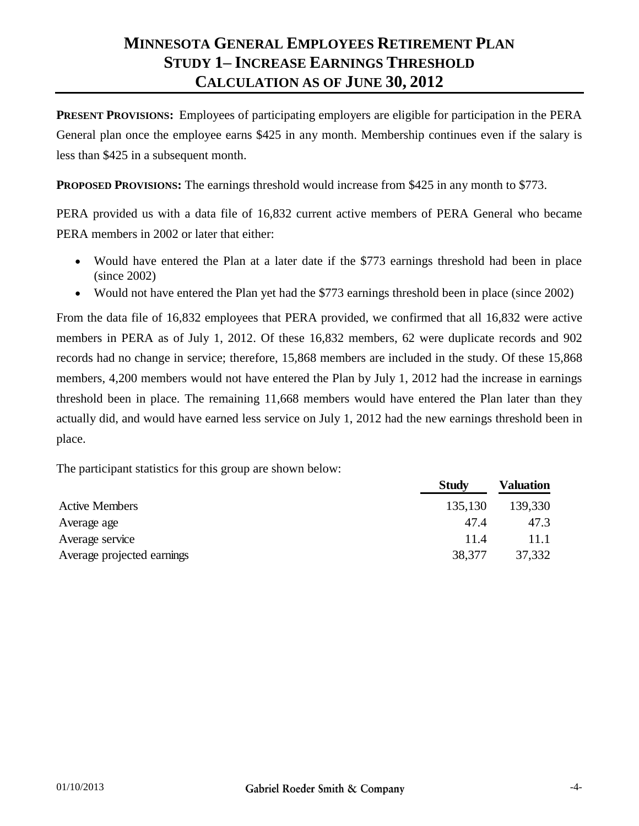# **MINNESOTA GENERAL EMPLOYEES RETIREMENT PLAN STUDY 1– INCREASE EARNINGS THRESHOLD CALCULATION AS OF JUNE 30, 2012**

**PRESENT PROVISIONS:** Employees of participating employers are eligible for participation in the PERA General plan once the employee earns \$425 in any month. Membership continues even if the salary is less than \$425 in a subsequent month.

**PROPOSED PROVISIONS:** The earnings threshold would increase from \$425 in any month to \$773.

PERA provided us with a data file of 16,832 current active members of PERA General who became PERA members in 2002 or later that either:

- Would have entered the Plan at a later date if the \$773 earnings threshold had been in place (since 2002)
- Would not have entered the Plan yet had the \$773 earnings threshold been in place (since 2002)

From the data file of 16,832 employees that PERA provided, we confirmed that all 16,832 were active members in PERA as of July 1, 2012. Of these 16,832 members, 62 were duplicate records and 902 records had no change in service; therefore, 15,868 members are included in the study. Of these 15,868 members, 4,200 members would not have entered the Plan by July 1, 2012 had the increase in earnings threshold been in place. The remaining 11,668 members would have entered the Plan later than they actually did, and would have earned less service on July 1, 2012 had the new earnings threshold been in place.

The participant statistics for this group are shown below:

|                            | <b>Study</b> | Valuation |
|----------------------------|--------------|-----------|
| <b>Active Members</b>      | 135,130      | 139,330   |
| Average age                | 47.4         | 47.3      |
| Average service            | 11.4         | 11.1      |
| Average projected earnings | 38,377       | 37,332    |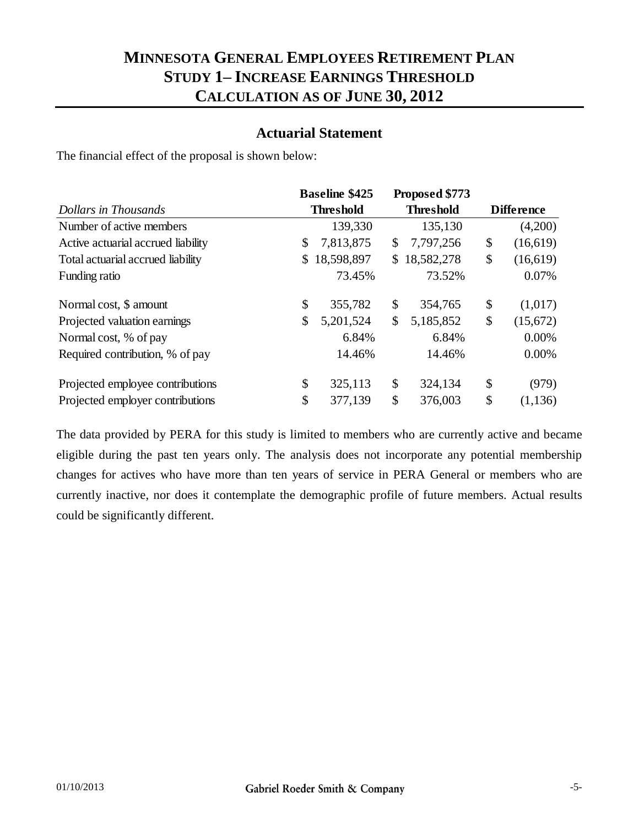### **MINNESOTA GENERAL EMPLOYEES RETIREMENT PLAN STUDY 1– INCREASE EARNINGS THRESHOLD CALCULATION AS OF JUNE 30, 2012**

#### **Actuarial Statement**

The financial effect of the proposal is shown below:

|                                    | <b>Baseline \$425</b> |            |    | Proposed \$773   |                   |          |
|------------------------------------|-----------------------|------------|----|------------------|-------------------|----------|
| Dollars in Thousands               | <b>Threshold</b>      |            |    | <b>Threshold</b> | <b>Difference</b> |          |
| Number of active members           |                       | 139,330    |    | 135,130          |                   | (4,200)  |
| Active actuarial accrued liability | \$                    | 7,813,875  | \$ | 7,797,256        | \$                | (16,619) |
| Total actuarial accrued liability  | $\mathbb{S}^-$        | 18,598,897 | \$ | 18,582,278       | \$                | (16,619) |
| Funding ratio                      |                       | 73.45%     |    | 73.52%           |                   | 0.07%    |
| Normal cost, \$ amount             | \$                    | 355,782    | \$ | 354,765          | \$                | (1,017)  |
| Projected valuation earnings       | \$                    | 5,201,524  | \$ | 5,185,852        | \$                | (15,672) |
| Normal cost, % of pay              |                       | 6.84%      |    | 6.84%            |                   | 0.00%    |
| Required contribution, % of pay    |                       | 14.46%     |    | 14.46%           |                   | 0.00%    |
| Projected employee contributions   | \$                    | 325,113    | \$ | 324,134          | \$                | (979)    |
| Projected employer contributions   | \$                    | 377,139    | \$ | 376,003          | \$                | (1, 136) |

The data provided by PERA for this study is limited to members who are currently active and became eligible during the past ten years only. The analysis does not incorporate any potential membership changes for actives who have more than ten years of service in PERA General or members who are currently inactive, nor does it contemplate the demographic profile of future members. Actual results could be significantly different.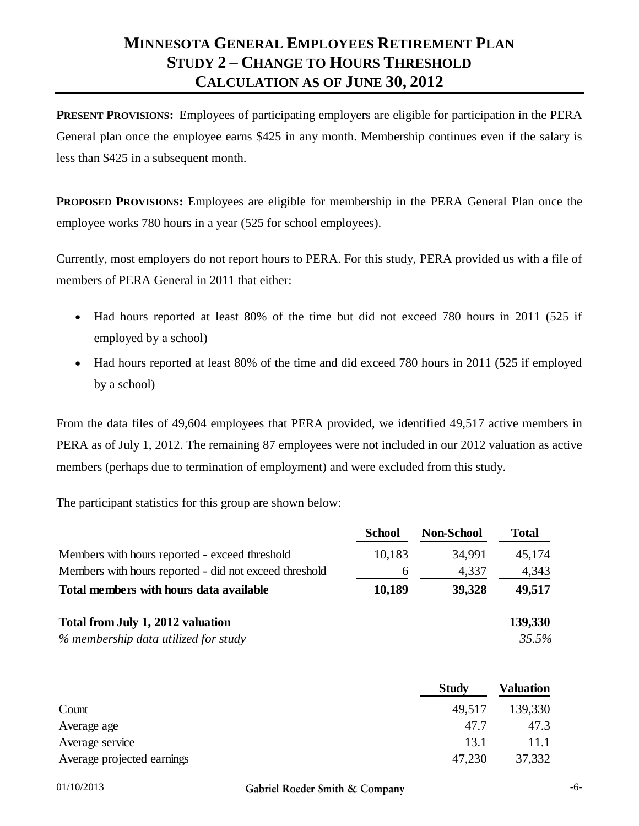# **MINNESOTA GENERAL EMPLOYEES RETIREMENT PLAN STUDY 2 – CHANGE TO HOURS THRESHOLD CALCULATION AS OF JUNE 30, 2012**

**PRESENT PROVISIONS:** Employees of participating employers are eligible for participation in the PERA General plan once the employee earns \$425 in any month. Membership continues even if the salary is less than \$425 in a subsequent month.

**PROPOSED PROVISIONS:** Employees are eligible for membership in the PERA General Plan once the employee works 780 hours in a year (525 for school employees).

Currently, most employers do not report hours to PERA. For this study, PERA provided us with a file of members of PERA General in 2011 that either:

- Had hours reported at least 80% of the time but did not exceed 780 hours in 2011 (525 if employed by a school)
- Had hours reported at least 80% of the time and did exceed 780 hours in 2011 (525 if employed by a school)

From the data files of 49,604 employees that PERA provided, we identified 49,517 active members in PERA as of July 1, 2012. The remaining 87 employees were not included in our 2012 valuation as active members (perhaps due to termination of employment) and were excluded from this study.

The participant statistics for this group are shown below:

|                                                        | <b>School</b> | <b>Non-School</b> | <b>Total</b> |
|--------------------------------------------------------|---------------|-------------------|--------------|
| Members with hours reported - exceed threshold         | 10,183        | 34,991            | 45,174       |
| Members with hours reported - did not exceed threshold | 6             | 4,337             | 4,343        |
| Total members with hours data available                | 10,189        | 39,328            | 49,517       |
| Total from July 1, 2012 valuation                      |               |                   | 139,330      |
| % membership data utilized for study                   |               |                   | 35.5%        |

|                            | <b>Study</b> | <b>Valuation</b> |
|----------------------------|--------------|------------------|
| Count                      | 49,517       | 139,330          |
| Average age                | 47.7         | 47.3             |
| Average service            | 13.1         | 11.1             |
| Average projected earnings | 47,230       | 37,332           |

01/10/2013 **Gabriel Roeder Smith & Company** -6-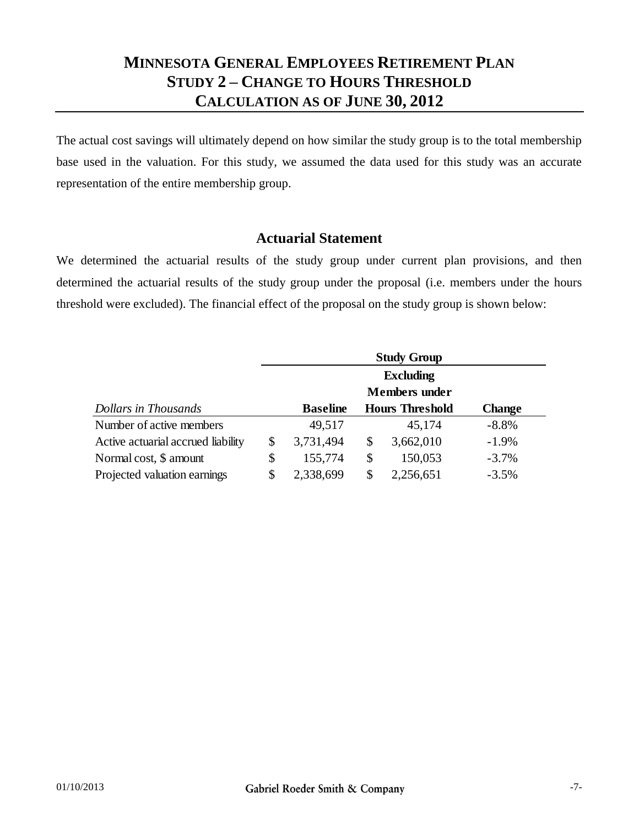### **MINNESOTA GENERAL EMPLOYEES RETIREMENT PLAN STUDY 2 – CHANGE TO HOURS THRESHOLD CALCULATION AS OF JUNE 30, 2012**

The actual cost savings will ultimately depend on how similar the study group is to the total membership base used in the valuation. For this study, we assumed the data used for this study was an accurate representation of the entire membership group.

#### **Actuarial Statement**

We determined the actuarial results of the study group under current plan provisions, and then determined the actuarial results of the study group under the proposal (i.e. members under the hours threshold were excluded). The financial effect of the proposal on the study group is shown below:

|                                    | <b>Study Group</b>   |    |                        |               |  |  |  |
|------------------------------------|----------------------|----|------------------------|---------------|--|--|--|
|                                    | <b>Excluding</b>     |    |                        |               |  |  |  |
|                                    | <b>Members</b> under |    |                        |               |  |  |  |
| Dollars in Thousands               | <b>Baseline</b>      |    | <b>Hours Threshold</b> | <b>Change</b> |  |  |  |
| Number of active members           | 49,517               |    | 45,174                 | $-8.8%$       |  |  |  |
| Active actuarial accrued liability | \$<br>3,731,494      | \$ | 3,662,010              | $-1.9%$       |  |  |  |
| Normal cost, \$ amount             | \$<br>155,774        | \$ | 150,053                | $-3.7\%$      |  |  |  |
| Projected valuation earnings       | \$<br>2,338,699      | S  | 2,256,651              | $-3.5%$       |  |  |  |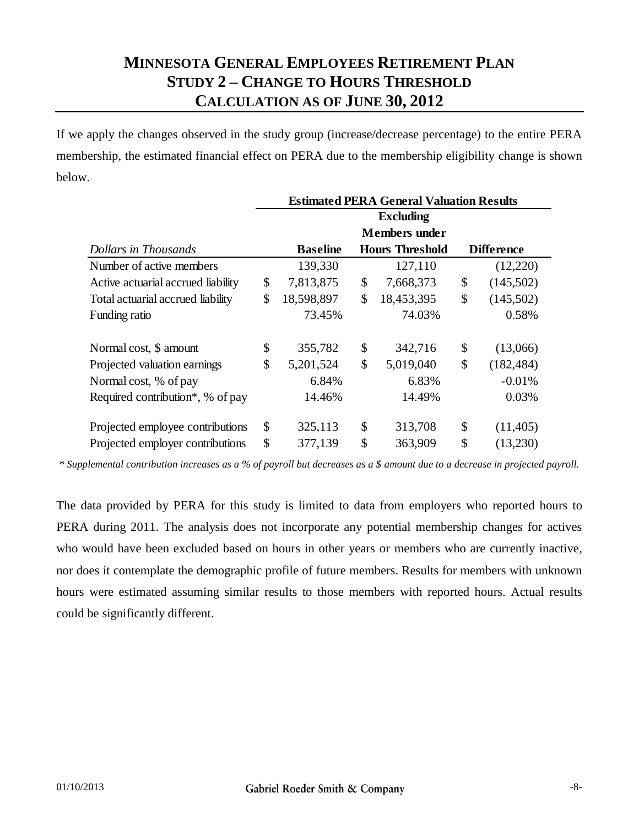# **MINNESOTA GENERAL EMPLOYEES RETIREMENT PLAN STUDY 2 – CHANGE TO HOURS THRESHOLD CALCULATION AS OF JUNE 30, 2012**

If we apply the changes observed in the study group (increase/decrease percentage) to the entire PERA membership, the estimated financial effect on PERA due to the membership eligibility change is shown below.

|                                    | <b>Estimated PERA General Valuation Results</b> |                 |    |                        |    |                   |  |  |
|------------------------------------|-------------------------------------------------|-----------------|----|------------------------|----|-------------------|--|--|
|                                    |                                                 |                 |    | <b>Excluding</b>       |    |                   |  |  |
|                                    |                                                 |                 |    | <b>Members</b> under   |    |                   |  |  |
| Dollars in Thousands               |                                                 | <b>Baseline</b> |    | <b>Hours Threshold</b> |    | <b>Difference</b> |  |  |
| Number of active members           |                                                 | 139,330         |    | 127,110                |    | (12,220)          |  |  |
| Active actuarial accrued liability | \$                                              | 7,813,875       | \$ | 7,668,373              | \$ | (145,502)         |  |  |
| Total actuarial accrued liability  | \$                                              | 18,598,897      | \$ | 18,453,395             | \$ | (145,502)         |  |  |
| Funding ratio                      |                                                 | 73.45%          |    | 74.03%                 |    | 0.58%             |  |  |
| Normal cost, \$ amount             | \$                                              | 355,782         | \$ | 342,716                | \$ | (13,066)          |  |  |
| Projected valuation earnings       | \$                                              | 5,201,524       | \$ | 5,019,040              | \$ | (182, 484)        |  |  |
| Normal cost, % of pay              |                                                 | 6.84%           |    | 6.83%                  |    | $-0.01%$          |  |  |
| Required contribution*, % of pay   |                                                 | 14.46%          |    | 14.49%                 |    | 0.03%             |  |  |
| Projected employee contributions   | \$                                              | 325,113         | \$ | 313,708                | \$ | (11,405)          |  |  |
| Projected employer contributions   | \$                                              | 377,139         | \$ | 363,909                | \$ | (13,230)          |  |  |

*\* Supplemental contribution increases as a % of payroll but decreases as a \$ amount due to a decrease in projected payroll.*

The data provided by PERA for this study is limited to data from employers who reported hours to PERA during 2011. The analysis does not incorporate any potential membership changes for actives who would have been excluded based on hours in other years or members who are currently inactive, nor does it contemplate the demographic profile of future members. Results for members with unknown hours were estimated assuming similar results to those members with reported hours. Actual results could be significantly different.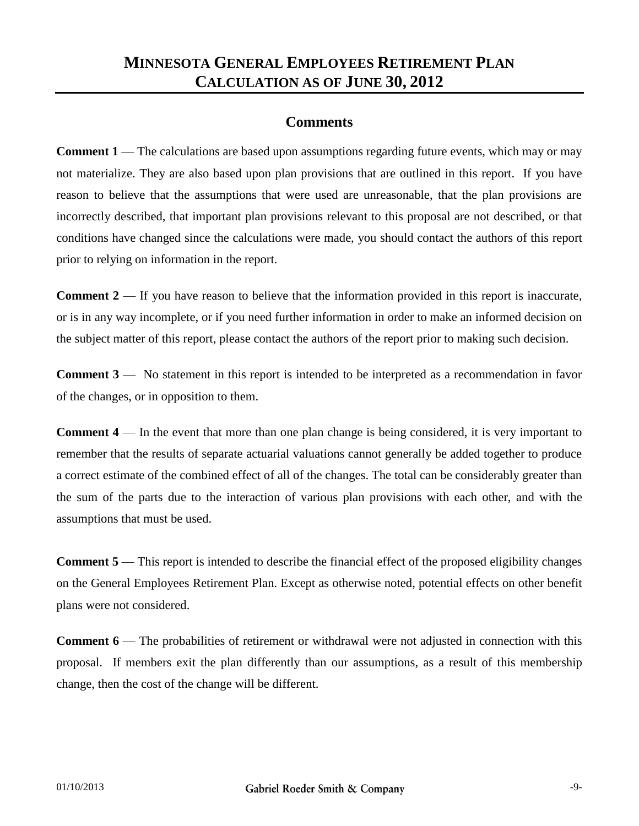### **MINNESOTA GENERAL EMPLOYEES RETIREMENT PLAN CALCULATION AS OF JUNE 30, 2012**

#### **Comments**

**Comment 1** — The calculations are based upon assumptions regarding future events, which may or may not materialize. They are also based upon plan provisions that are outlined in this report. If you have reason to believe that the assumptions that were used are unreasonable, that the plan provisions are incorrectly described, that important plan provisions relevant to this proposal are not described, or that conditions have changed since the calculations were made, you should contact the authors of this report prior to relying on information in the report.

**Comment 2** — If you have reason to believe that the information provided in this report is inaccurate, or is in any way incomplete, or if you need further information in order to make an informed decision on the subject matter of this report, please contact the authors of the report prior to making such decision.

**Comment 3** — No statement in this report is intended to be interpreted as a recommendation in favor of the changes, or in opposition to them.

**Comment 4** — In the event that more than one plan change is being considered, it is very important to remember that the results of separate actuarial valuations cannot generally be added together to produce a correct estimate of the combined effect of all of the changes. The total can be considerably greater than the sum of the parts due to the interaction of various plan provisions with each other, and with the assumptions that must be used.

**Comment 5** — This report is intended to describe the financial effect of the proposed eligibility changes on the General Employees Retirement Plan. Except as otherwise noted, potential effects on other benefit plans were not considered.

**Comment 6** — The probabilities of retirement or withdrawal were not adjusted in connection with this proposal. If members exit the plan differently than our assumptions, as a result of this membership change, then the cost of the change will be different.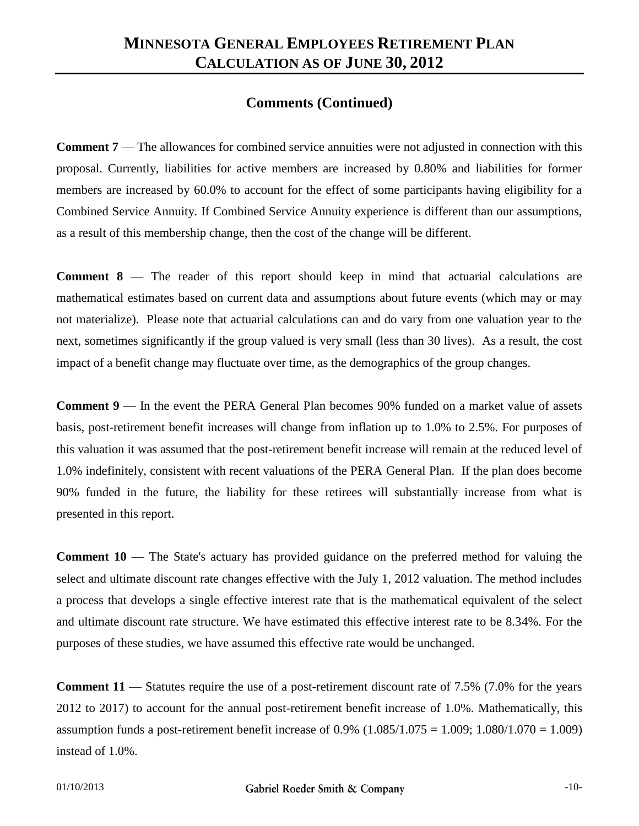#### **Comments (Continued)**

**Comment 7** — The allowances for combined service annuities were not adjusted in connection with this proposal. Currently, liabilities for active members are increased by 0.80% and liabilities for former members are increased by 60.0% to account for the effect of some participants having eligibility for a Combined Service Annuity. If Combined Service Annuity experience is different than our assumptions, as a result of this membership change, then the cost of the change will be different.

**Comment 8** — The reader of this report should keep in mind that actuarial calculations are mathematical estimates based on current data and assumptions about future events (which may or may not materialize). Please note that actuarial calculations can and do vary from one valuation year to the next, sometimes significantly if the group valued is very small (less than 30 lives). As a result, the cost impact of a benefit change may fluctuate over time, as the demographics of the group changes.

**Comment 9** — In the event the PERA General Plan becomes 90% funded on a market value of assets basis, post-retirement benefit increases will change from inflation up to 1.0% to 2.5%. For purposes of this valuation it was assumed that the post-retirement benefit increase will remain at the reduced level of 1.0% indefinitely, consistent with recent valuations of the PERA General Plan. If the plan does become 90% funded in the future, the liability for these retirees will substantially increase from what is presented in this report.

**Comment 10** — The State's actuary has provided guidance on the preferred method for valuing the select and ultimate discount rate changes effective with the July 1, 2012 valuation. The method includes a process that develops a single effective interest rate that is the mathematical equivalent of the select and ultimate discount rate structure. We have estimated this effective interest rate to be 8.34%. For the purposes of these studies, we have assumed this effective rate would be unchanged.

**Comment 11** — Statutes require the use of a post-retirement discount rate of 7.5% (7.0% for the years 2012 to 2017) to account for the annual post-retirement benefit increase of 1.0%. Mathematically, this assumption funds a post-retirement benefit increase of  $0.9\%$  (1.085/1.075 = 1.009; 1.080/1.070 = 1.009) instead of 1.0%.